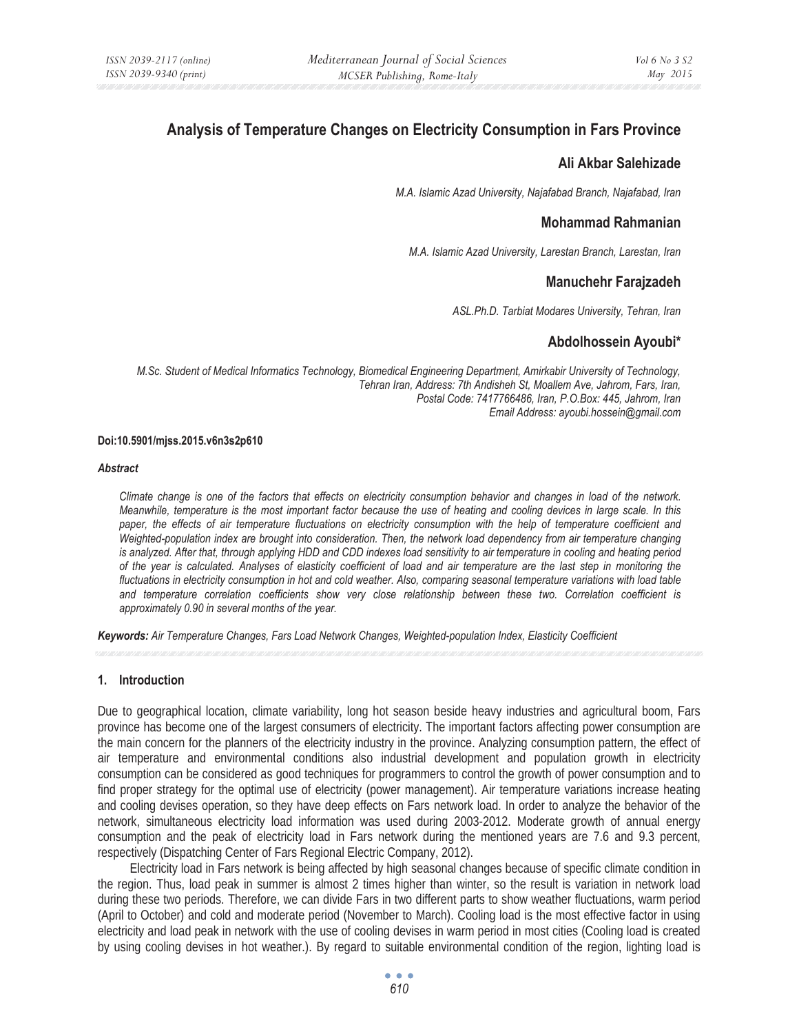# **Analysis of Temperature Changes on Electricity Consumption in Fars Province**

#### **Ali Akbar Salehizade**

*M.A. Islamic Azad University, Najafabad Branch, Najafabad, Iran* 

## **Mohammad Rahmanian**

*M.A. Islamic Azad University, Larestan Branch, Larestan, Iran* 

# **Manuchehr Farajzadeh**

*ASL.Ph.D. Tarbiat Modares University, Tehran, Iran* 

# **Abdolhossein Ayoubi\***

*M.Sc. Student of Medical Informatics Technology, Biomedical Engineering Department, Amirkabir University of Technology, Tehran Iran, Address: 7th Andisheh St, Moallem Ave, Jahrom, Fars, Iran, Postal Code: 7417766486, Iran, P.O.Box: 445, Jahrom, Iran Email Address: ayoubi.hossein@gmail.com* 

#### **Doi:10.5901/mjss.2015.v6n3s2p610**

#### *Abstract*

*Climate change is one of the factors that effects on electricity consumption behavior and changes in load of the network. Meanwhile, temperature is the most important factor because the use of heating and cooling devices in large scale. In this*  paper, the effects of air temperature fluctuations on electricity consumption with the help of temperature coefficient and *Weighted-population index are brought into consideration. Then, the network load dependency from air temperature changing is analyzed. After that, through applying HDD and CDD indexes load sensitivity to air temperature in cooling and heating period of the year is calculated. Analyses of elasticity coefficient of load and air temperature are the last step in monitoring the fluctuations in electricity consumption in hot and cold weather. Also, comparing seasonal temperature variations with load table and temperature correlation coefficients show very close relationship between these two. Correlation coefficient is approximately 0.90 in several months of the year.* 

*Keywords: Air Temperature Changes, Fars Load Network Changes, Weighted-population Index, Elasticity Coefficient*

#### **1. Introduction**

Due to geographical location, climate variability, long hot season beside heavy industries and agricultural boom, Fars province has become one of the largest consumers of electricity. The important factors affecting power consumption are the main concern for the planners of the electricity industry in the province. Analyzing consumption pattern, the effect of air temperature and environmental conditions also industrial development and population growth in electricity consumption can be considered as good techniques for programmers to control the growth of power consumption and to find proper strategy for the optimal use of electricity (power management). Air temperature variations increase heating and cooling devises operation, so they have deep effects on Fars network load. In order to analyze the behavior of the network, simultaneous electricity load information was used during 2003-2012. Moderate growth of annual energy consumption and the peak of electricity load in Fars network during the mentioned years are 7.6 and 9.3 percent, respectively (Dispatching Center of Fars Regional Electric Company, 2012).

Electricity load in Fars network is being affected by high seasonal changes because of specific climate condition in the region. Thus, load peak in summer is almost 2 times higher than winter, so the result is variation in network load during these two periods. Therefore, we can divide Fars in two different parts to show weather fluctuations, warm period (April to October) and cold and moderate period (November to March). Cooling load is the most effective factor in using electricity and load peak in network with the use of cooling devises in warm period in most cities (Cooling load is created by using cooling devises in hot weather.). By regard to suitable environmental condition of the region, lighting load is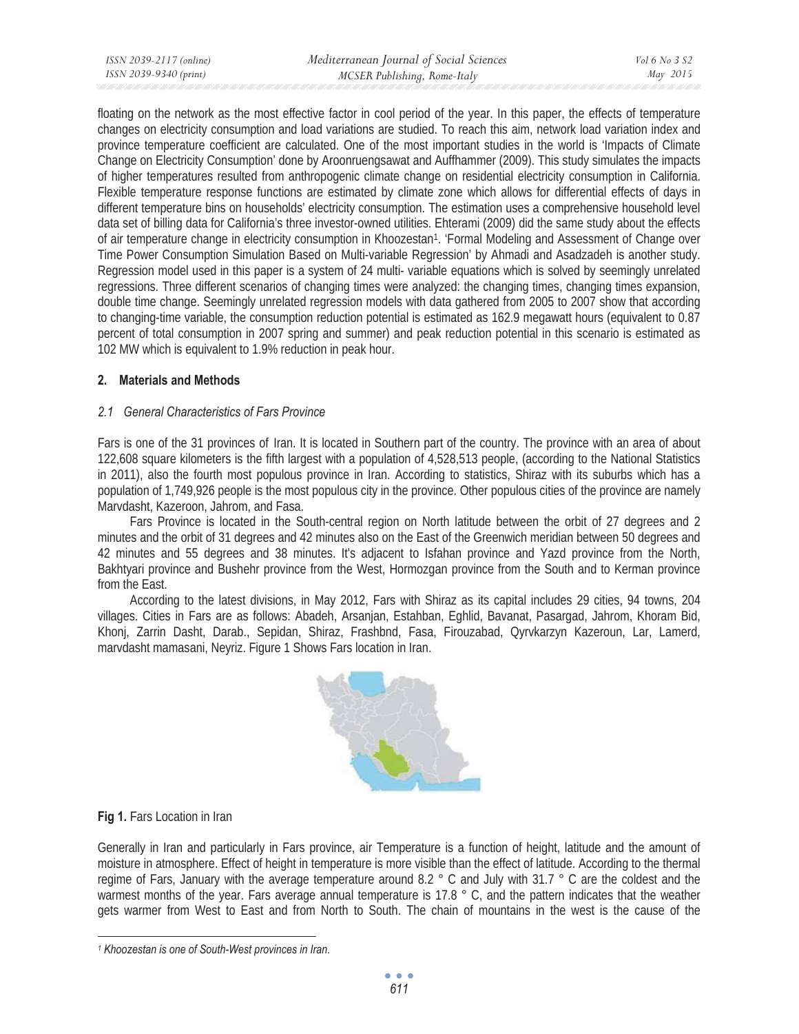floating on the network as the most effective factor in cool period of the year. In this paper, the effects of temperature changes on electricity consumption and load variations are studied. To reach this aim, network load variation index and province temperature coefficient are calculated. One of the most important studies in the world is 'Impacts of Climate Change on Electricity Consumption' done by Aroonruengsawat and Auffhammer (2009). This study simulates the impacts of higher temperatures resulted from anthropogenic climate change on residential electricity consumption in California. Flexible temperature response functions are estimated by climate zone which allows for differential effects of days in different temperature bins on households' electricity consumption. The estimation uses a comprehensive household level data set of billing data for California's three investor-owned utilities. Ehterami (2009) did the same study about the effects of air temperature change in electricity consumption in Khoozestan1. 'Formal Modeling and Assessment of Change over Time Power Consumption Simulation Based on Multi-variable Regression' by Ahmadi and Asadzadeh is another study. Regression model used in this paper is a system of 24 multi- variable equations which is solved by seemingly unrelated regressions. Three different scenarios of changing times were analyzed: the changing times, changing times expansion, double time change. Seemingly unrelated regression models with data gathered from 2005 to 2007 show that according to changing-time variable, the consumption reduction potential is estimated as 162.9 megawatt hours (equivalent to 0.87 percent of total consumption in 2007 spring and summer) and peak reduction potential in this scenario is estimated as 102 MW which is equivalent to 1.9% reduction in peak hour.

## **2. Materials and Methods**

## *2.1 General Characteristics of Fars Province*

Fars is one of the 31 provinces of Iran. It is located in Southern part of the country. The province with an area of about 122,608 square kilometers is the fifth largest with a population of 4,528,513 people, (according to the National Statistics in 2011), also the fourth most populous province in Iran. According to statistics, Shiraz with its suburbs which has a population of 1,749,926 people is the most populous city in the province. Other populous cities of the province are namely Marvdasht, Kazeroon, Jahrom, and Fasa.

Fars Province is located in the South-central region on North latitude between the orbit of 27 degrees and 2 minutes and the orbit of 31 degrees and 42 minutes also on the East of the Greenwich meridian between 50 degrees and 42 minutes and 55 degrees and 38 minutes. It's adjacent to Isfahan province and Yazd province from the North, Bakhtyari province and Bushehr province from the West, Hormozgan province from the South and to Kerman province from the East.

According to the latest divisions, in May 2012, Fars with Shiraz as its capital includes 29 cities, 94 towns, 204 villages. Cities in Fars are as follows: Abadeh, Arsanjan, Estahban, Eghlid, Bavanat, Pasargad, Jahrom, Khoram Bid, Khonj, Zarrin Dasht, Darab., Sepidan, Shiraz, Frashbnd, Fasa, Firouzabad, Qyrvkarzyn Kazeroun, Lar, Lamerd, marvdasht mamasani, Neyriz. Figure 1 Shows Fars location in Iran.



#### **Fig 1.** Fars Location in Iran

Generally in Iran and particularly in Fars province, air Temperature is a function of height, latitude and the amount of moisture in atmosphere. Effect of height in temperature is more visible than the effect of latitude. According to the thermal regime of Fars, January with the average temperature around 8.2 ° C and July with 31.7 ° C are the coldest and the warmest months of the year. Fars average annual temperature is 17.8 ° C, and the pattern indicates that the weather gets warmer from West to East and from North to South. The chain of mountains in the west is the cause of the

*<sup>1</sup> Khoozestan is one of South-West provinces in Iran.*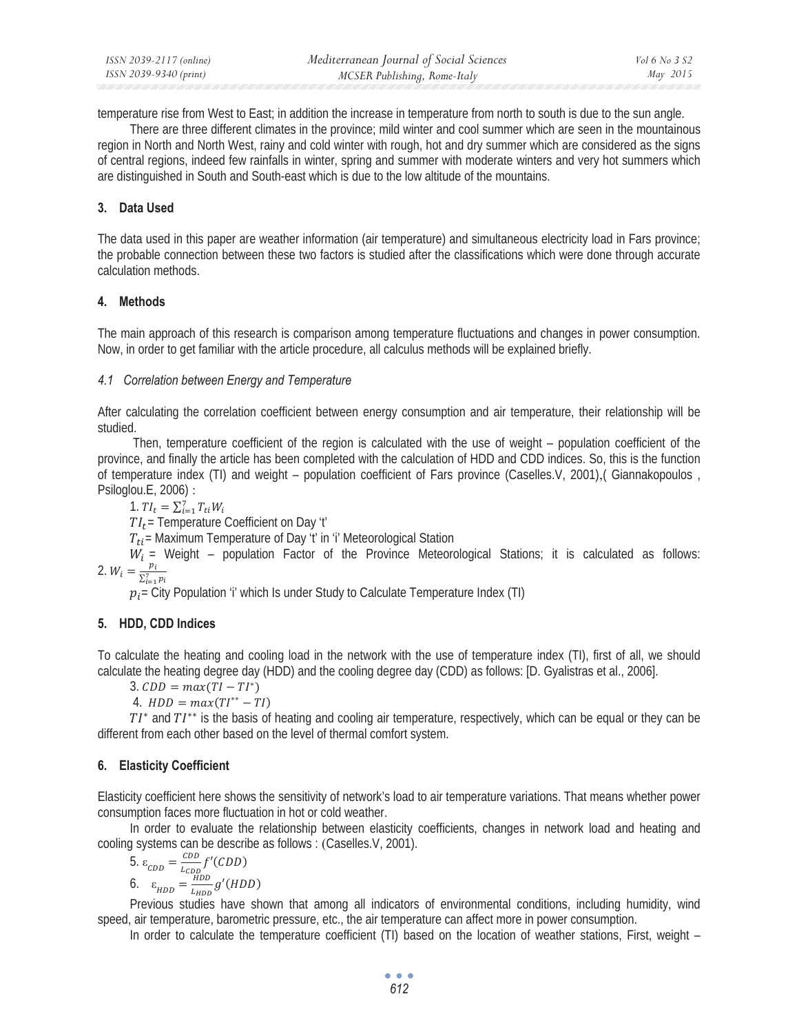temperature rise from West to East; in addition the increase in temperature from north to south is due to the sun angle.

There are three different climates in the province; mild winter and cool summer which are seen in the mountainous region in North and North West, rainy and cold winter with rough, hot and dry summer which are considered as the signs of central regions, indeed few rainfalls in winter, spring and summer with moderate winters and very hot summers which are distinguished in South and South-east which is due to the low altitude of the mountains.

# **3. Data Used**

The data used in this paper are weather information (air temperature) and simultaneous electricity load in Fars province; the probable connection between these two factors is studied after the classifications which were done through accurate calculation methods.

## **4. Methods**

The main approach of this research is comparison among temperature fluctuations and changes in power consumption. Now, in order to get familiar with the article procedure, all calculus methods will be explained briefly.

## *4.1 Correlation between Energy and Temperature*

After calculating the correlation coefficient between energy consumption and air temperature, their relationship will be studied.

 Then, temperature coefficient of the region is calculated with the use of weight – population coefficient of the province, and finally the article has been completed with the calculation of HDD and CDD indices. So, this is the function of temperature index (TI) and weight – population coefficient of Fars province (Caselles.V, 2001),( Giannakopoulos , Psiloglou.E, 2006) :

1.  $TI_t = \sum_{i=1}^{7} T_{ti} W_i$ 

 $TI_t$  Temperature Coefficient on Day 't'

 $T_{ti}$  = Maximum Temperature of Day 't' in 'i' Meteorological Station

 $W_i$  = Weight – population Factor of the Province Meteorological Stations; it is calculated as follows: 2.  $W_i = \frac{p_i}{\sum_{i=1}^{7} p_i}$ 

 $p_i$  = City Population 'i' which Is under Study to Calculate Temperature Index (TI)

# **5. HDD, CDD Indices**

To calculate the heating and cooling load in the network with the use of temperature index (TI), first of all, we should calculate the heating degree day (HDD) and the cooling degree day (CDD) as follows: [D. Gyalistras et al., 2006].

 $3. CDD = max(TI - TI^*)$ 

4.  $HDD = max(TI^{**} - TI)$ 

 $TI^*$  and  $TI^{**}$  is the basis of heating and cooling air temperature, respectively, which can be equal or they can be different from each other based on the level of thermal comfort system.

# **6. Elasticity Coefficient**

Elasticity coefficient here shows the sensitivity of network's load to air temperature variations. That means whether power consumption faces more fluctuation in hot or cold weather.

In order to evaluate the relationship between elasticity coefficients, changes in network load and heating and cooling systems can be describe as follows : (Caselles.V, 2001).

5. 
$$
\varepsilon_{CDD} = \frac{CDD}{L_{CDD}} f'(CDD)
$$
  
6.  $\varepsilon_{HDD} = \frac{HDD}{L_{HDD}} g'(HDD)$ 

Previous studies have shown that among all indicators of environmental conditions, including humidity, wind speed, air temperature, barometric pressure, etc., the air temperature can affect more in power consumption.

In order to calculate the temperature coefficient (TI) based on the location of weather stations, First, weight –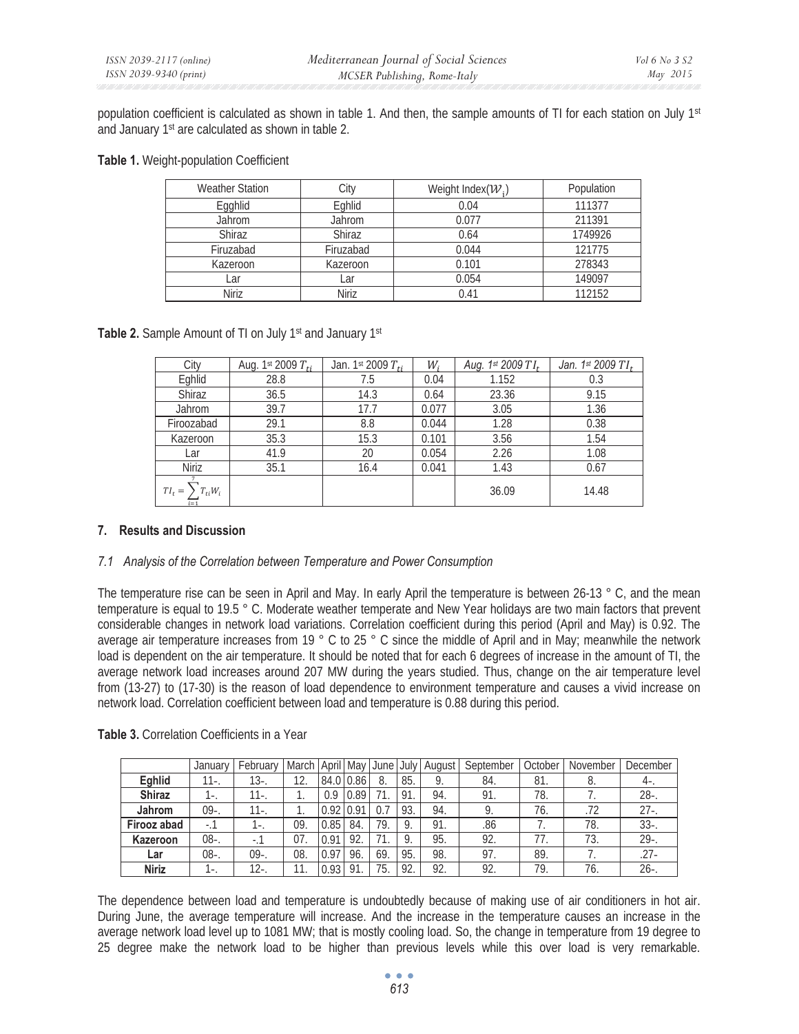population coefficient is calculated as shown in table 1. And then, the sample amounts of TI for each station on July  $1st$ and January 1st are calculated as shown in table 2.

|  |  |  | Table 1. Weight-population Coefficient |
|--|--|--|----------------------------------------|
|--|--|--|----------------------------------------|

| <b>Weather Station</b> | City      | Weight Index( $W1$ ) | Population |
|------------------------|-----------|----------------------|------------|
| Egghlid                | Eghlid    | 0.04                 | 111377     |
| Jahrom                 | Jahrom    | 0.077                | 211391     |
| Shiraz                 | Shiraz    | 0.64                 | 1749926    |
| Firuzabad              | Firuzabad | 0.044                | 121775     |
| Kazeroon               | Kazeroon  | 0.101                | 278343     |
| ∟ar                    | Lar       | 0.054                | 149097     |
| <b>Niriz</b>           | Niriz     | 0.41                 | 112152     |

**Table 2.** Sample Amount of TI on July 1<sup>st</sup> and January 1<sup>st</sup>

| City                               | Aug. 1st 2009 $T_{ti}$ | Jan. 1st 2009 $T_{ti}$ | W,    | Aug. 1st 2009 TI <sub>t</sub> | Jan. 1st 2009 $TI_t$ |
|------------------------------------|------------------------|------------------------|-------|-------------------------------|----------------------|
| Eghlid                             | 28.8                   | 7.5                    | 0.04  | 1.152                         | 0.3                  |
| <b>Shiraz</b>                      | 36.5                   | 14.3                   | 0.64  | 23.36                         | 9.15                 |
| Jahrom                             | 39.7                   | 17.7                   | 0.077 | 3.05                          | 1.36                 |
| Firoozabad                         | 29.1                   | 8.8                    | 0.044 | 1.28                          | 0.38                 |
| Kazeroon                           | 35.3                   | 15.3                   | 0.101 | 3.56                          | 1.54                 |
| ∟ar                                | 41.9                   | 20                     | 0.054 | 2.26                          | 1.08                 |
| <b>Niriz</b>                       | 35.1                   | 16.4                   | 0.041 | 1.43                          | 0.67                 |
| $TI_t =$<br>$T_{ti}W_i$<br>$i = 1$ |                        |                        |       | 36.09                         | 14.48                |

#### **7. Results and Discussion**

#### *7.1 Analysis of the Correlation between Temperature and Power Consumption*

The temperature rise can be seen in April and May. In early April the temperature is between 26-13 ° C, and the mean temperature is equal to 19.5 ° C. Moderate weather temperate and New Year holidays are two main factors that prevent considerable changes in network load variations. Correlation coefficient during this period (April and May) is 0.92. The average air temperature increases from 19 ° C to 25 ° C since the middle of April and in May; meanwhile the network load is dependent on the air temperature. It should be noted that for each 6 degrees of increase in the amount of TI, the average network load increases around 207 MW during the years studied. Thus, change on the air temperature level from (13-27) to (17-30) is the reason of load dependence to environment temperature and causes a vivid increase on network load. Correlation coefficient between load and temperature is 0.88 during this period.

|  |  | Table 3. Correlation Coefficients in a Year |  |
|--|--|---------------------------------------------|--|
|--|--|---------------------------------------------|--|

|               | January | February | <b>March</b> | April May        |      | June | July | August | September | October | November | December |
|---------------|---------|----------|--------------|------------------|------|------|------|--------|-----------|---------|----------|----------|
| Eghlid        | 11-.    | $13 -$   | 12.          | 84.0 0.86        |      | 8.   | 85.  | 9.     | 84.       | -81.    | о.       | $4-$     |
| <b>Shiraz</b> | I-.     | $11 -$   |              | 0.9              | 0.89 |      | 91.  | 94.    | 91.       | 78.     |          | $28 -$   |
| Jahrom        | $09-.$  | $11 -$   |              | $0.92 \mid 0.91$ |      |      | 93.  | 94.    |           | 76.     | .72      | $27 -$   |
| Firooz abad   | ۰. ا    | 1-.      | 09.          | 0.85             | 84.  | 79.  | 9.   | 91.    | .86       |         | 78.      | $33 -$   |
| Kazeroon      | $08 -$  |          | 07           | 0.91             | 92.  |      | 9.   | 95.    | 92.       |         | 73.      | $29 -$   |
| Lar           | $08 -$  | $09-.$   | 08.          | 0.97             | 96.  | 69.  | 95.  | 98.    | 97.       | 89.     |          | $27-$    |
| <b>Niriz</b>  | I – .   | $12 -$   |              | 0.93             | 91   | 75.  | 92.  | 92.    | 92.       | 79.     | 76.      | $26 -$   |

The dependence between load and temperature is undoubtedly because of making use of air conditioners in hot air. During June, the average temperature will increase. And the increase in the temperature causes an increase in the average network load level up to 1081 MW; that is mostly cooling load. So, the change in temperature from 19 degree to 25 degree make the network load to be higher than previous levels while this over load is very remarkable.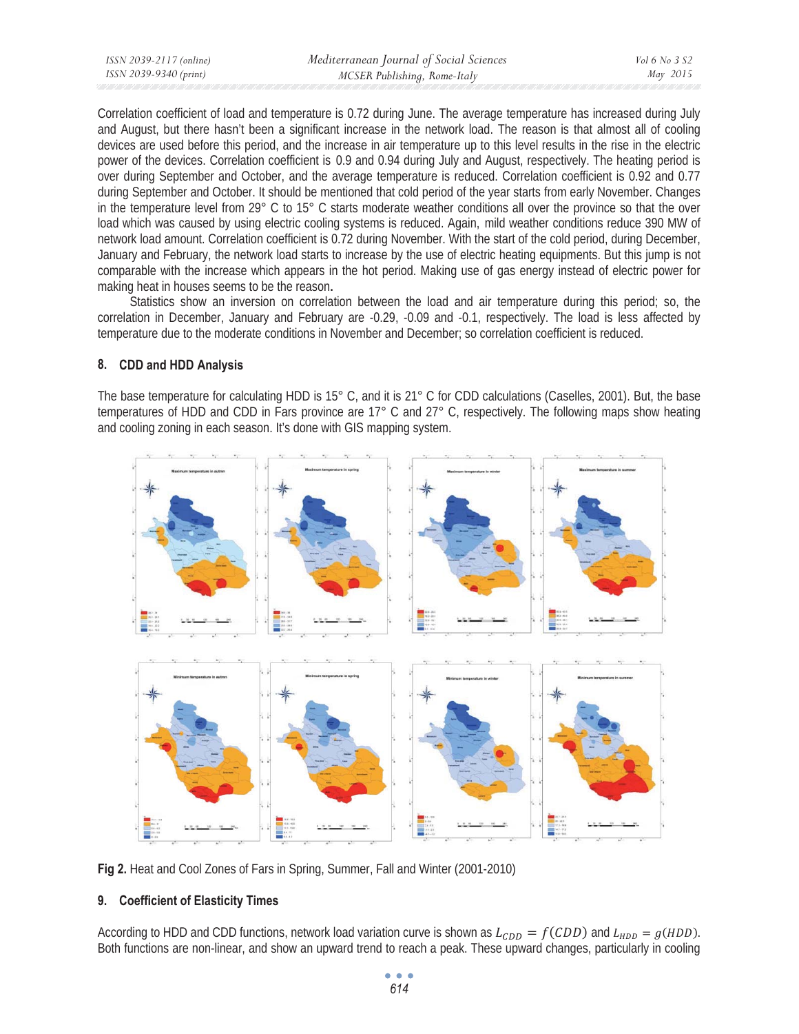| ISSN 2039-2117 (online) | Mediterranean Journal of Social Sciences | Vol 6 No 3 S2 |
|-------------------------|------------------------------------------|---------------|
| ISSN 2039-9340 (print)  | MCSER Publishing, Rome-Italy             | May 2015      |

Correlation coefficient of load and temperature is 0.72 during June. The average temperature has increased during July and August, but there hasn't been a significant increase in the network load. The reason is that almost all of cooling devices are used before this period, and the increase in air temperature up to this level results in the rise in the electric power of the devices. Correlation coefficient is 0.9 and 0.94 during July and August, respectively. The heating period is over during September and October, and the average temperature is reduced. Correlation coefficient is 0.92 and 0.77 during September and October. It should be mentioned that cold period of the year starts from early November. Changes in the temperature level from 29° C to 15° C starts moderate weather conditions all over the province so that the over load which was caused by using electric cooling systems is reduced. Again, mild weather conditions reduce 390 MW of network load amount. Correlation coefficient is 0.72 during November. With the start of the cold period, during December, January and February, the network load starts to increase by the use of electric heating equipments. But this jump is not comparable with the increase which appears in the hot period. Making use of gas energy instead of electric power for making heat in houses seems to be the reason**.** 

Statistics show an inversion on correlation between the load and air temperature during this period; so, the correlation in December, January and February are -0.29, -0.09 and -0.1, respectively. The load is less affected by temperature due to the moderate conditions in November and December; so correlation coefficient is reduced.

## **8. CDD and HDD Analysis**

The base temperature for calculating HDD is 15° C, and it is 21° C for CDD calculations (Caselles, 2001). But, the base temperatures of HDD and CDD in Fars province are 17° C and 27° C, respectively. The following maps show heating and cooling zoning in each season. It's done with GIS mapping system.



**Fig 2.** Heat and Cool Zones of Fars in Spring, Summer, Fall and Winter (2001-2010)

# **9. Coefficient of Elasticity Times**

According to HDD and CDD functions, network load variation curve is shown as  $L_{CDD} = f(CDD)$  and  $L_{HDD} = g(HDD)$ . Both functions are non-linear, and show an upward trend to reach a peak. These upward changes, particularly in cooling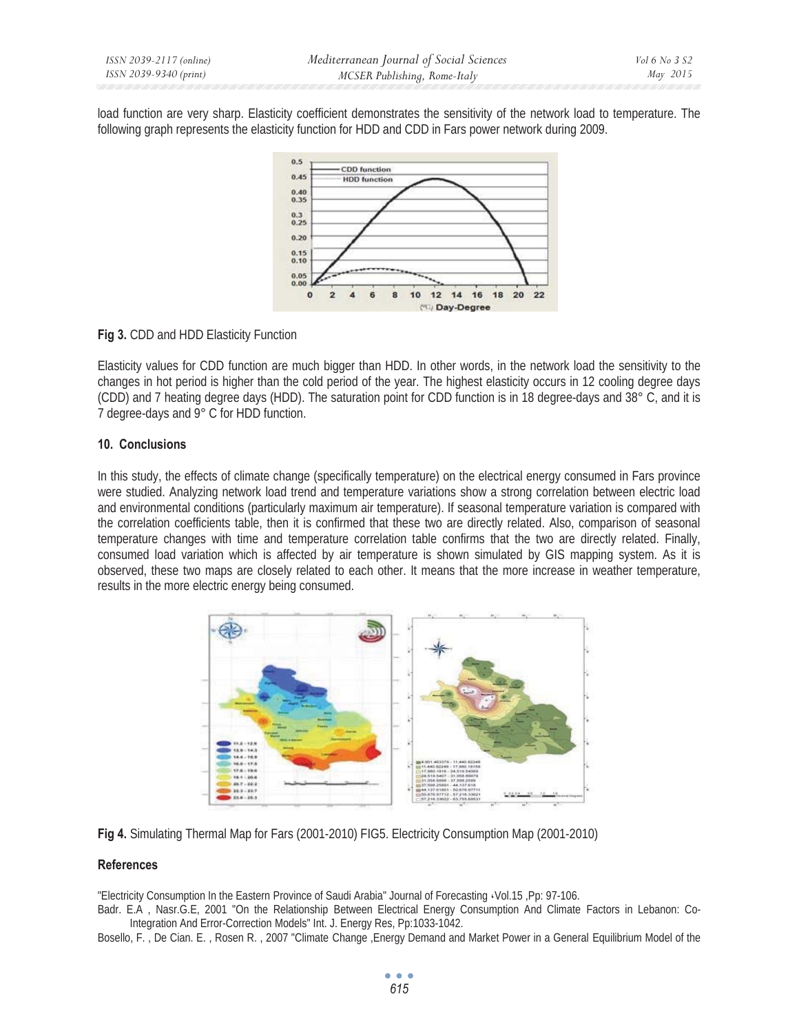load function are very sharp. Elasticity coefficient demonstrates the sensitivity of the network load to temperature. The following graph represents the elasticity function for HDD and CDD in Fars power network during 2009.



## **Fig 3.** CDD and HDD Elasticity Function

Elasticity values for CDD function are much bigger than HDD. In other words, in the network load the sensitivity to the changes in hot period is higher than the cold period of the year. The highest elasticity occurs in 12 cooling degree days (CDD) and 7 heating degree days (HDD). The saturation point for CDD function is in 18 degree-days and 38° C, and it is 7 degree-days and 9° C for HDD function.

#### **10. Conclusions**

In this study, the effects of climate change (specifically temperature) on the electrical energy consumed in Fars province were studied. Analyzing network load trend and temperature variations show a strong correlation between electric load and environmental conditions (particularly maximum air temperature). If seasonal temperature variation is compared with the correlation coefficients table, then it is confirmed that these two are directly related. Also, comparison of seasonal temperature changes with time and temperature correlation table confirms that the two are directly related. Finally, consumed load variation which is affected by air temperature is shown simulated by GIS mapping system. As it is observed, these two maps are closely related to each other. It means that the more increase in weather temperature, results in the more electric energy being consumed.





#### **References**

"Electricity Consumption In the Eastern Province of Saudi Arabia" Journal of Forecasting ˬVol.15 ,Pp: 97-106.

Badr. E.A , Nasr.G.E, 2001 "On the Relationship Between Electrical Energy Consumption And Climate Factors in Lebanon: Co-Integration And Error-Correction Models" Int. J. Energy Res, Pp:1033-1042.

Bosello, F. , De Cian. E. , Rosen R. , 2007 "Climate Change ,Energy Demand and Market Power in a General Equilibrium Model of the